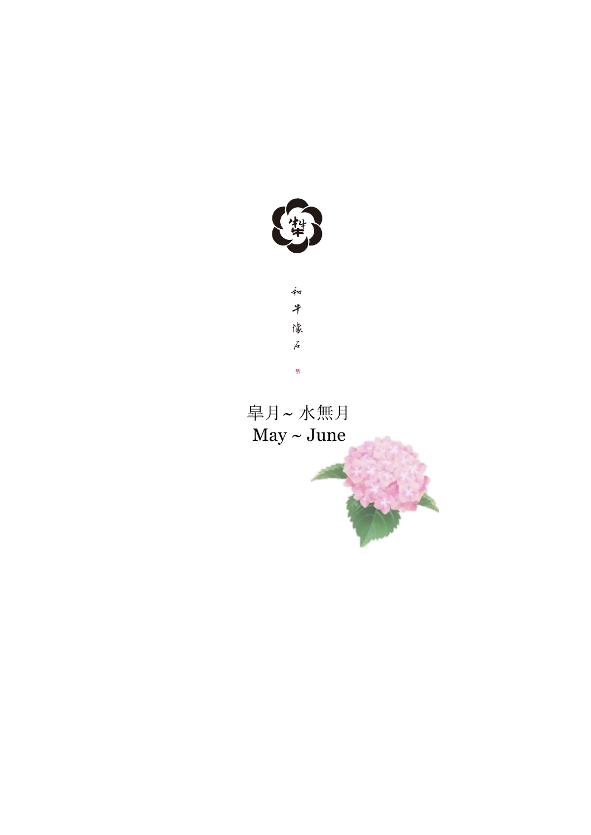



皐月~ 水無月  $May \sim June$